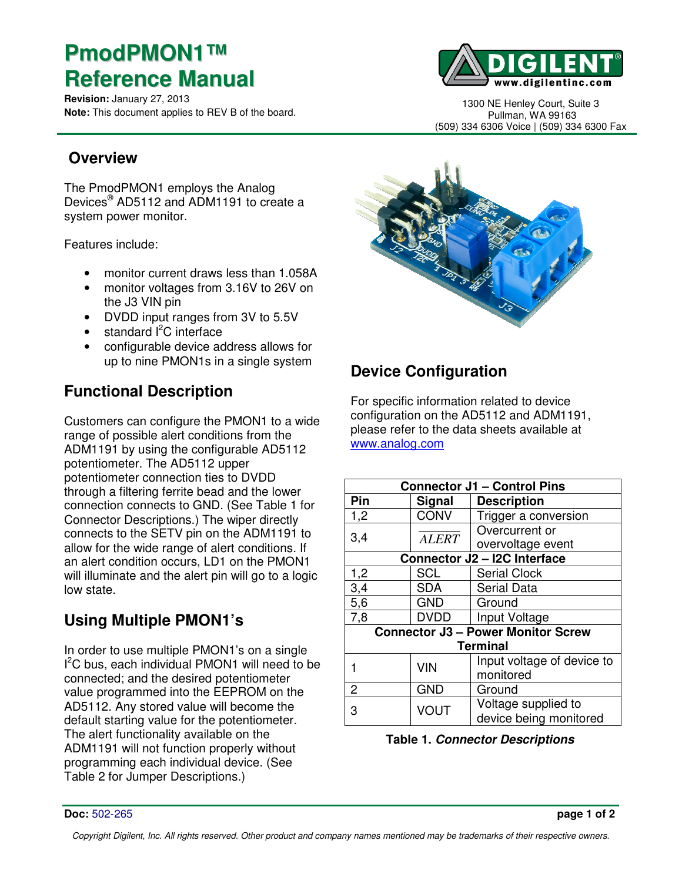# **PmodPMON1™ Reference Manual**

**Revision:** January 27, 2013 **Note:** This document applies to REV B of the board.



1300 NE Henley Court, Suite 3 Pullman, WA 99163 (509) 334 6306 Voice | (509) 334 6300 Fax

#### **Overview**

The PmodPMON1 employs the Analog Devices® AD5112 and ADM1191 to create a system power monitor.

Features include:

- monitor current draws less than 1.058A
- monitor voltages from 3.16V to 26V on the J3 VIN pin
- DVDD input ranges from 3V to 5.5V
- $\bullet$  standard  $l^2C$  interface
- configurable device address allows for up to nine PMON1s in a single system

### **Functional Description**

Customers can configure the PMON1 to a wide range of possible alert conditions from the ADM1191 by using the configurable AD5112 potentiometer. The AD5112 upper potentiometer connection ties to DVDD through a filtering ferrite bead and the lower connection connects to GND. (See Table 1 for Connector Descriptions.) The wiper directly connects to the SETV pin on the ADM1191 to allow for the wide range of alert conditions. If an alert condition occurs, LD1 on the PMON1 will illuminate and the alert pin will go to a logic low state.

### **Using Multiple PMON1's**

In order to use multiple PMON1's on a single I<sup>2</sup>C bus, each individual PMON1 will need to be connected; and the desired potentiometer value programmed into the EEPROM on the AD5112. Any stored value will become the default starting value for the potentiometer. The alert functionality available on the ADM1191 will not function properly without programming each individual device. (See Table 2 for Jumper Descriptions.)



## **Device Configuration**

For specific information related to device configuration on the AD5112 and ADM1191, please refer to the data sheets available at www.analog.com

| <b>Connector J1 - Control Pins</b>        |              |                            |  |
|-------------------------------------------|--------------|----------------------------|--|
| Pin                                       | Signal       | <b>Description</b>         |  |
| 1,2                                       | <b>CONV</b>  | Trigger a conversion       |  |
| 3,4                                       | <b>ALERT</b> | Overcurrent or             |  |
|                                           |              | overvoltage event          |  |
| Connector J2 - I2C Interface              |              |                            |  |
| 1,2                                       | <b>SCL</b>   | <b>Serial Clock</b>        |  |
| 3,4                                       | <b>SDA</b>   | <b>Serial Data</b>         |  |
| 5,6                                       | <b>GND</b>   | Ground                     |  |
| 7,8                                       | <b>DVDD</b>  | Input Voltage              |  |
| <b>Connector J3 - Power Monitor Screw</b> |              |                            |  |
| <b>Terminal</b>                           |              |                            |  |
|                                           | <b>VIN</b>   | Input voltage of device to |  |
|                                           |              | monitored                  |  |
| 2                                         | <b>GND</b>   | Ground                     |  |
| 3                                         | <b>VOUT</b>  | Voltage supplied to        |  |
|                                           |              | device being monitored     |  |

**Table 1. Connector Descriptions**